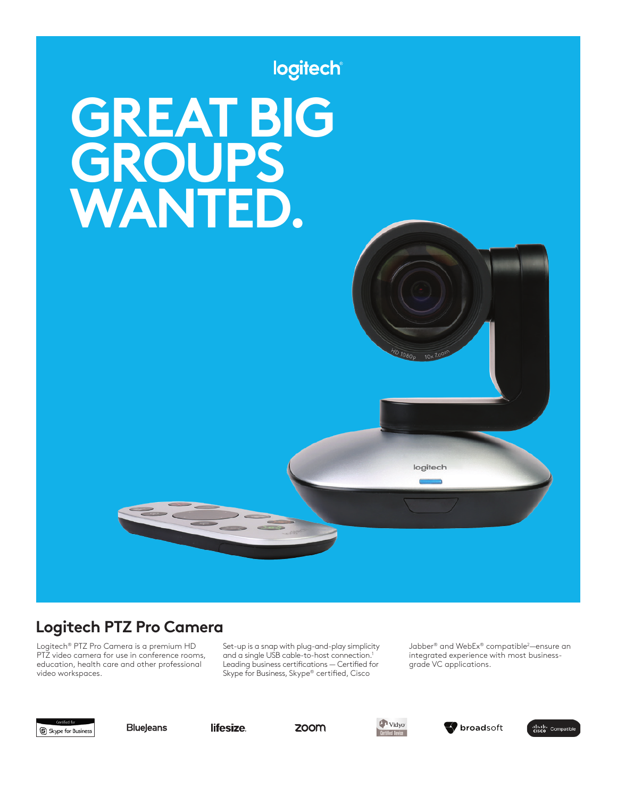

# **Logitech PTZ Pro Camera**

Logitech® PTZ Pro Camera is a premium HD PTZ video camera for use in conference rooms, education, health care and other professional video workspaces.

Set-up is a snap with plug-and-play simplicity and a single USB cable-to-host connection.<sup>1</sup> Leading business certifications — Certified for Skype for Business, Skype® certified, Cisco

Jabber® and WebEx® compatible2 —ensure an integrated experience with most businessgrade VC applications.



**BlueJeans** 

lifesize.

zoom





diale Compatible